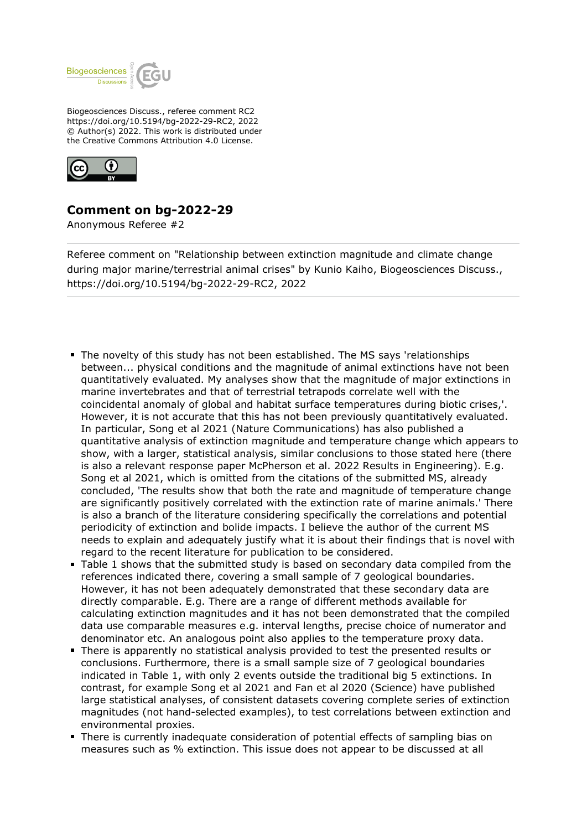

Biogeosciences Discuss., referee comment RC2 https://doi.org/10.5194/bg-2022-29-RC2, 2022 © Author(s) 2022. This work is distributed under the Creative Commons Attribution 4.0 License.



## **Comment on bg-2022-29**

Anonymous Referee #2

Referee comment on "Relationship between extinction magnitude and climate change during major marine/terrestrial animal crises" by Kunio Kaiho, Biogeosciences Discuss., https://doi.org/10.5194/bg-2022-29-RC2, 2022

- The novelty of this study has not been established. The MS says 'relationships between... physical conditions and the magnitude of animal extinctions have not been quantitatively evaluated. My analyses show that the magnitude of major extinctions in marine invertebrates and that of terrestrial tetrapods correlate well with the coincidental anomaly of global and habitat surface temperatures during biotic crises,'. However, it is not accurate that this has not been previously quantitatively evaluated. In particular, Song et al 2021 (Nature Communications) has also published a quantitative analysis of extinction magnitude and temperature change which appears to show, with a larger, statistical analysis, similar conclusions to those stated here (there is also a relevant response paper McPherson et al. 2022 Results in Engineering). E.g. Song et al 2021, which is omitted from the citations of the submitted MS, already concluded, 'The results show that both the rate and magnitude of temperature change are significantly positively correlated with the extinction rate of marine animals.' There is also a branch of the literature considering specifically the correlations and potential periodicity of extinction and bolide impacts. I believe the author of the current MS needs to explain and adequately justify what it is about their findings that is novel with regard to the recent literature for publication to be considered.
- Table 1 shows that the submitted study is based on secondary data compiled from the references indicated there, covering a small sample of 7 geological boundaries. However, it has not been adequately demonstrated that these secondary data are directly comparable. E.g. There are a range of different methods available for calculating extinction magnitudes and it has not been demonstrated that the compiled data use comparable measures e.g. interval lengths, precise choice of numerator and denominator etc. An analogous point also applies to the temperature proxy data.
- There is apparently no statistical analysis provided to test the presented results or conclusions. Furthermore, there is a small sample size of 7 geological boundaries indicated in Table 1, with only 2 events outside the traditional big 5 extinctions. In contrast, for example Song et al 2021 and Fan et al 2020 (Science) have published large statistical analyses, of consistent datasets covering complete series of extinction magnitudes (not hand-selected examples), to test correlations between extinction and environmental proxies.
- There is currently inadequate consideration of potential effects of sampling bias on measures such as % extinction. This issue does not appear to be discussed at all